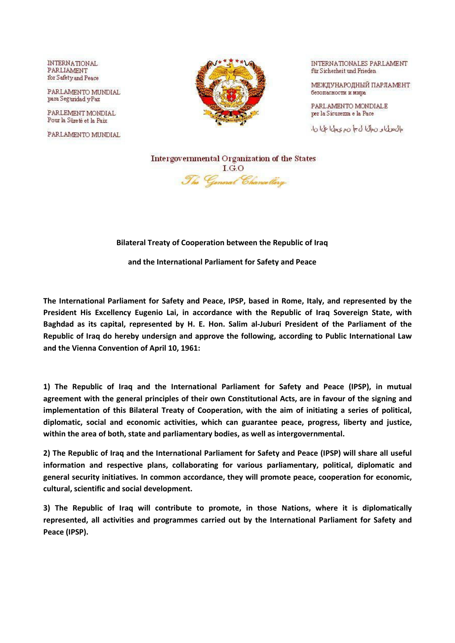**INTERNATIONAL** PARLIAMENT for Safety and Peace

PARLAMENTO MUNDIAL para Segundad y Paz

PARLEMENT MONDIAL Pour la Sûreté et la Paix

PARLAMENTO MUNDIAL



INTERNATIONALES PARLAMENT für Sicherheit und Frieden

МЕЖДУНАРОДНЫЙ ПАРЛАМЕНТ безопасности и мира

PARLAMENTO MONDIALE per la Sicurezza e la Pace

مال سول او ن موال الى جا ن م ى مولى ا على ا ن ا.

Intergovernmental Organization of the States  $I.G.O$ The General Chancellery

## **Bilateral Treaty of Cooperation between the Republic of Iraq**

**and the International Parliament for Safety and Peace** 

**The International Parliament for Safety and Peace, IPSP, based in Rome, Italy, and represented by the President His Excellency Eugenio Lai, in accordance with the Republic of Iraq Sovereign State, with Baghdad as its capital, represented by H. E. Hon. Salim al-Juburi President of the Parliament of the Republic of Iraq do hereby undersign and approve the following, according to Public International Law and the Vienna Convention of April 10, 1961:** 

**1) The Republic of Iraq and the International Parliament for Safety and Peace (IPSP), in mutual agreement with the general principles of their own Constitutional Acts, are in favour of the signing and implementation of this Bilateral Treaty of Cooperation, with the aim of initiating a series of political, diplomatic, social and economic activities, which can guarantee peace, progress, liberty and justice, within the area of both, state and parliamentary bodies, as well as intergovernmental.** 

**2) The Republic of Iraq and the International Parliament for Safety and Peace (IPSP) will share all useful information and respective plans, collaborating for various parliamentary, political, diplomatic and general security initiatives. In common accordance, they will promote peace, cooperation for economic, cultural, scientific and social development.** 

**3) The Republic of Iraq will contribute to promote, in those Nations, where it is diplomatically represented, all activities and programmes carried out by the International Parliament for Safety and Peace (IPSP).**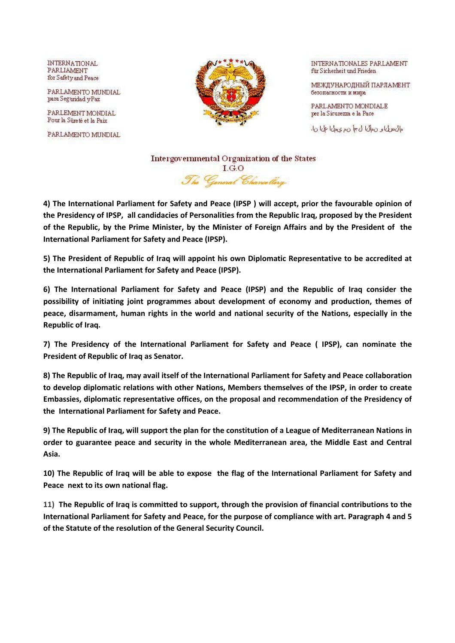**INTERNATIONAL** PARLIAMENT for Safety and Peace

PARLAMENTO MUNDIAL para Segundad y Paz

PARLEMENT MONDIAL Pour la Sûreté et la Paix

PARLAMENTO MUNDIAL



INTERNATIONALES PARLAMENT für Sicherheit und Frieden

МЕЖДУНАРОДНЫЙ ПАРЛАМЕНТ безопасности и мира

PARLAMENTO MONDIALE per la Sicurezza e la Pace

مال سول الله على الله عنه الله على الله على الله على الله على الله على الله على الله على الله على ال

Intergovernmental Organization of the States  $I.G.O$ The General Chancellery

**4) The International Parliament for Safety and Peace (IPSP ) will accept, prior the favourable opinion of the Presidency of IPSP, all candidacies of Personalities from the Republic Iraq, proposed by the President of the Republic, by the Prime Minister, by the Minister of Foreign Affairs and by the President of the International Parliament for Safety and Peace (IPSP).** 

**5) The President of Republic of Iraq will appoint his own Diplomatic Representative to be accredited at the International Parliament for Safety and Peace (IPSP).** 

**6) The International Parliament for Safety and Peace (IPSP) and the Republic of Iraq consider the possibility of initiating joint programmes about development of economy and production, themes of peace, disarmament, human rights in the world and national security of the Nations, especially in the Republic of Iraq.** 

**7) The Presidency of the International Parliament for Safety and Peace ( IPSP), can nominate the President of Republic of Iraq as Senator.** 

**8) The Republic of Iraq, may avail itself of the International Parliament for Safety and Peace collaboration to develop diplomatic relations with other Nations, Members themselves of the IPSP, in order to create Embassies, diplomatic representative offices, on the proposal and recommendation of the Presidency of the International Parliament for Safety and Peace.** 

**9) The Republic of Iraq, will support the plan for the constitution of a League of Mediterranean Nations in order to guarantee peace and security in the whole Mediterranean area, the Middle East and Central Asia.** 

**10) The Republic of Iraq will be able to expose the flag of the International Parliament for Safety and Peace next to its own national flag.** 

**11) The Republic of Iraq is committed to support, through the provision of financial contributions to the International Parliament for Safety and Peace, for the purpose of compliance with art. Paragraph 4 and 5 of the Statute of the resolution of the General Security Council.**